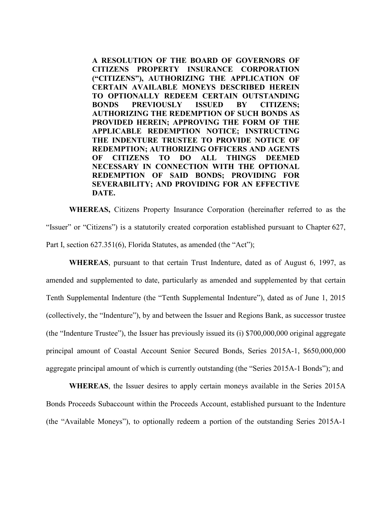**A RESOLUTION OF THE BOARD OF GOVERNORS OF CITIZENS PROPERTY INSURANCE CORPORATION ("CITIZENS"), AUTHORIZING THE APPLICATION OF CERTAIN AVAILABLE MONEYS DESCRIBED HEREIN TO OPTIONALLY REDEEM CERTAIN OUTSTANDING BONDS PREVIOUSLY ISSUED BY CITIZENS; AUTHORIZING THE REDEMPTION OF SUCH BONDS AS PROVIDED HEREIN; APPROVING THE FORM OF THE APPLICABLE REDEMPTION NOTICE; INSTRUCTING THE INDENTURE TRUSTEE TO PROVIDE NOTICE OF REDEMPTION; AUTHORIZING OFFICERS AND AGENTS OF CITIZENS TO DO ALL THINGS DEEMED NECESSARY IN CONNECTION WITH THE OPTIONAL REDEMPTION OF SAID BONDS; PROVIDING FOR SEVERABILITY; AND PROVIDING FOR AN EFFECTIVE DATE.**

**WHEREAS,** Citizens Property Insurance Corporation (hereinafter referred to as the "Issuer" or "Citizens") is a statutorily created corporation established pursuant to Chapter 627, Part I, section 627.351(6), Florida Statutes, as amended (the "Act");

**WHEREAS**, pursuant to that certain Trust Indenture, dated as of August 6, 1997, as amended and supplemented to date, particularly as amended and supplemented by that certain Tenth Supplemental Indenture (the "Tenth Supplemental Indenture"), dated as of June 1, 2015 (collectively, the "Indenture"), by and between the Issuer and Regions Bank, as successor trustee (the "Indenture Trustee"), the Issuer has previously issued its (i) \$700,000,000 original aggregate principal amount of Coastal Account Senior Secured Bonds, Series 2015A-1, \$650,000,000 aggregate principal amount of which is currently outstanding (the "Series 2015A-1 Bonds"); and

**WHEREAS**, the Issuer desires to apply certain moneys available in the Series 2015A Bonds Proceeds Subaccount within the Proceeds Account, established pursuant to the Indenture (the "Available Moneys"), to optionally redeem a portion of the outstanding Series 2015A-1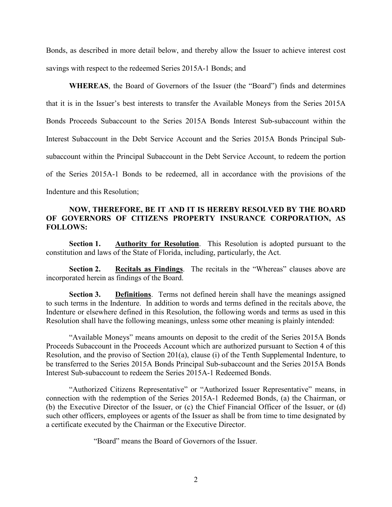Bonds, as described in more detail below, and thereby allow the Issuer to achieve interest cost savings with respect to the redeemed Series 2015A-1 Bonds; and

**WHEREAS**, the Board of Governors of the Issuer (the "Board") finds and determines that it is in the Issuer's best interests to transfer the Available Moneys from the Series 2015A Bonds Proceeds Subaccount to the Series 2015A Bonds Interest Sub-subaccount within the Interest Subaccount in the Debt Service Account and the Series 2015A Bonds Principal Subsubaccount within the Principal Subaccount in the Debt Service Account, to redeem the portion of the Series 2015A-1 Bonds to be redeemed, all in accordance with the provisions of the Indenture and this Resolution;

## **NOW, THEREFORE, BE IT AND IT IS HEREBY RESOLVED BY THE BOARD OF GOVERNORS OF CITIZENS PROPERTY INSURANCE CORPORATION, AS FOLLOWS:**

**Section 1. Authority for Resolution**. This Resolution is adopted pursuant to the constitution and laws of the State of Florida, including, particularly, the Act.

**Section 2. Recitals as Findings**. The recitals in the "Whereas" clauses above are incorporated herein as findings of the Board.

**Section 3. Definitions**. Terms not defined herein shall have the meanings assigned to such terms in the Indenture. In addition to words and terms defined in the recitals above, the Indenture or elsewhere defined in this Resolution, the following words and terms as used in this Resolution shall have the following meanings, unless some other meaning is plainly intended:

"Available Moneys" means amounts on deposit to the credit of the Series 2015A Bonds Proceeds Subaccount in the Proceeds Account which are authorized pursuant to Section 4 of this Resolution, and the proviso of Section 201(a), clause (i) of the Tenth Supplemental Indenture, to be transferred to the Series 2015A Bonds Principal Sub-subaccount and the Series 2015A Bonds Interest Sub-subaccount to redeem the Series 2015A-1 Redeemed Bonds.

"Authorized Citizens Representative" or "Authorized Issuer Representative" means, in connection with the redemption of the Series 2015A-1 Redeemed Bonds, (a) the Chairman, or (b) the Executive Director of the Issuer, or (c) the Chief Financial Officer of the Issuer, or (d) such other officers, employees or agents of the Issuer as shall be from time to time designated by a certificate executed by the Chairman or the Executive Director.

"Board" means the Board of Governors of the Issuer.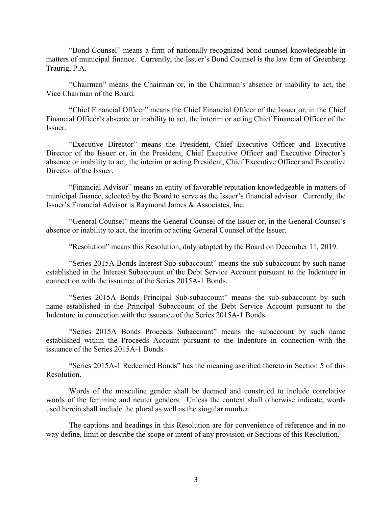"Bond Counsel" means a firm of nationally recognized bond counsel knowledgeable in matters of municipal finance. Currently, the Issuer's Bond Counsel is the law firm of Greenberg Traurig, P.A.

"Chairman" means the Chairman or, in the Chairman's absence or inability to act, the Vice Chairman of the Board.

"Chief Financial Officer" means the Chief Financial Officer of the Issuer or, in the Chief Financial Officer's absence or inability to act, the interim or acting Chief Financial Officer of the Issuer.

"Executive Director" means the President, Chief Executive Officer and Executive Director of the Issuer or, in the President, Chief Executive Officer and Executive Director's absence or inability to act, the interim or acting President, Chief Executive Officer and Executive Director of the Issuer.

"Financial Advisor" means an entity of favorable reputation knowledgeable in matters of municipal finance, selected by the Board to serve as the Issuer's financial advisor. Currently, the Issuer's Financial Advisor is Raymond James & Associates, Inc.

"General Counsel" means the General Counsel of the Issuer or, in the General Counsel's absence or inability to act, the interim or acting General Counsel of the Issuer.

"Resolution" means this Resolution, duly adopted by the Board on December 11, 2019.

"Series 2015A Bonds Interest Sub-subaccount" means the sub-subaccount by such name established in the Interest Subaccount of the Debt Service Account pursuant to the Indenture in connection with the issuance of the Series 2015A-1 Bonds.

"Series 2015A Bonds Principal Sub-subaccount" means the sub-subaccount by such name established in the Principal Subaccount of the Debt Service Account pursuant to the Indenture in connection with the issuance of the Series 2015A-1 Bonds.

"Series 2015A Bonds Proceeds Subaccount" means the subaccount by such name established within the Proceeds Account pursuant to the Indenture in connection with the issuance of the Series 2015A-1 Bonds.

"Series 2015A-1 Redeemed Bonds" has the meaning ascribed thereto in Section 5 of this Resolution.

Words of the masculine gender shall be deemed and construed to include correlative words of the feminine and neuter genders. Unless the context shall otherwise indicate, words used herein shall include the plural as well as the singular number.

The captions and headings in this Resolution are for convenience of reference and in no way define, limit or describe the scope or intent of any provision or Sections of this Resolution.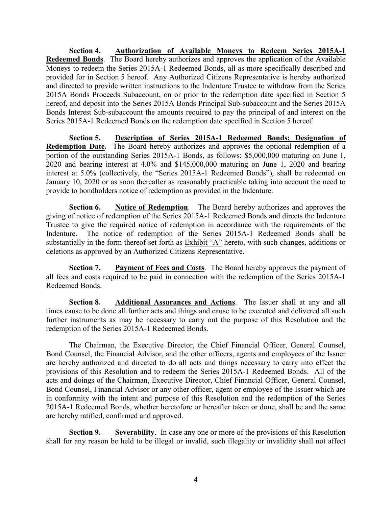**Section 4. Authorization of Available Moneys to Redeem Series 2015A-1 Redeemed Bonds**. The Board hereby authorizes and approves the application of the Available Moneys to redeem the Series 2015A-1 Redeemed Bonds, all as more specifically described and provided for in Section 5 hereof. Any Authorized Citizens Representative is hereby authorized and directed to provide written instructions to the Indenture Trustee to withdraw from the Series 2015A Bonds Proceeds Subaccount, on or prior to the redemption date specified in Section 5 hereof, and deposit into the Series 2015A Bonds Principal Sub-subaccount and the Series 2015A Bonds Interest Sub-subaccount the amounts required to pay the principal of and interest on the Series 2015A-1 Redeemed Bonds on the redemption date specified in Section 5 hereof.

**Section 5. Description of Series 2015A-1 Redeemed Bonds; Designation of Redemption Date.** The Board hereby authorizes and approves the optional redemption of a portion of the outstanding Series 2015A-1 Bonds, as follows: \$5,000,000 maturing on June 1, 2020 and bearing interest at 4.0% and \$145,000,000 maturing on June 1, 2020 and bearing interest at 5.0% (collectively, the "Series 2015A-1 Redeemed Bonds"), shall be redeemed on January 10, 2020 or as soon thereafter as reasonably practicable taking into account the need to provide to bondholders notice of redemption as provided in the Indenture.

**Section 6. Notice of Redemption**. The Board hereby authorizes and approves the giving of notice of redemption of the Series 2015A-1 Redeemed Bonds and directs the Indenture Trustee to give the required notice of redemption in accordance with the requirements of the Indenture. The notice of redemption of the Series 2015A-1 Redeemed Bonds shall be substantially in the form thereof set forth as **Exhibit "A"** hereto, with such changes, additions or deletions as approved by an Authorized Citizens Representative.

**Section 7. Payment of Fees and Costs**. The Board hereby approves the payment of all fees and costs required to be paid in connection with the redemption of the Series 2015A-1 Redeemed Bonds.

**Section 8. Additional Assurances and Actions**. The Issuer shall at any and all times cause to be done all further acts and things and cause to be executed and delivered all such further instruments as may be necessary to carry out the purpose of this Resolution and the redemption of the Series 2015A-1 Redeemed Bonds.

The Chairman, the Executive Director, the Chief Financial Officer, General Counsel, Bond Counsel, the Financial Advisor, and the other officers, agents and employees of the Issuer are hereby authorized and directed to do all acts and things necessary to carry into effect the provisions of this Resolution and to redeem the Series 2015A-1 Redeemed Bonds. All of the acts and doings of the Chairman, Executive Director, Chief Financial Officer, General Counsel, Bond Counsel, Financial Advisor or any other officer, agent or employee of the Issuer which are in conformity with the intent and purpose of this Resolution and the redemption of the Series 2015A-1 Redeemed Bonds, whether heretofore or hereafter taken or done, shall be and the same are hereby ratified, confirmed and approved.

**Section 9. Severability**. In case any one or more of the provisions of this Resolution shall for any reason be held to be illegal or invalid, such illegality or invalidity shall not affect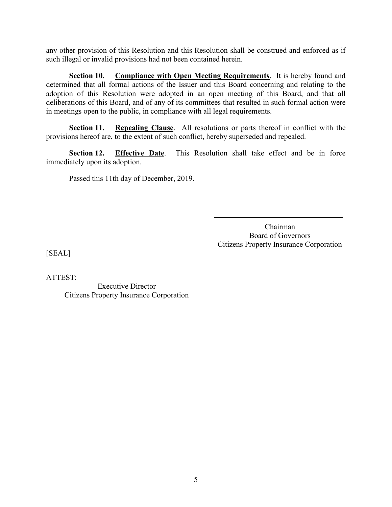any other provision of this Resolution and this Resolution shall be construed and enforced as if such illegal or invalid provisions had not been contained herein.

**Section 10. Compliance with Open Meeting Requirements**. It is hereby found and determined that all formal actions of the Issuer and this Board concerning and relating to the adoption of this Resolution were adopted in an open meeting of this Board, and that all deliberations of this Board, and of any of its committees that resulted in such formal action were in meetings open to the public, in compliance with all legal requirements.

**Section 11. Repealing Clause**. All resolutions or parts thereof in conflict with the provisions hereof are, to the extent of such conflict, hereby superseded and repealed.

**Section 12. Effective Date**. This Resolution shall take effect and be in force immediately upon its adoption.

Passed this 11th day of December, 2019.

Chairman Board of Governors Citizens Property Insurance Corporation

[SEAL]

ATTEST:

Executive Director Citizens Property Insurance Corporation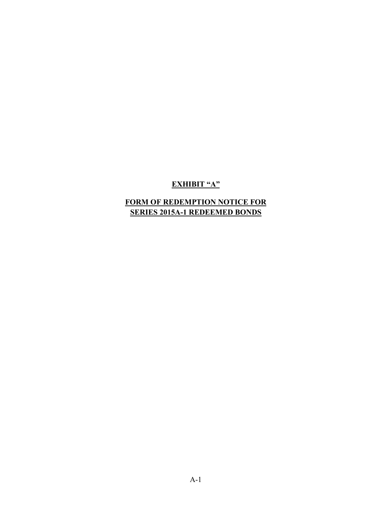# **EXHIBIT "A"**

# **FORM OF REDEMPTION NOTICE FOR SERIES 2015A-1 REDEEMED BONDS**